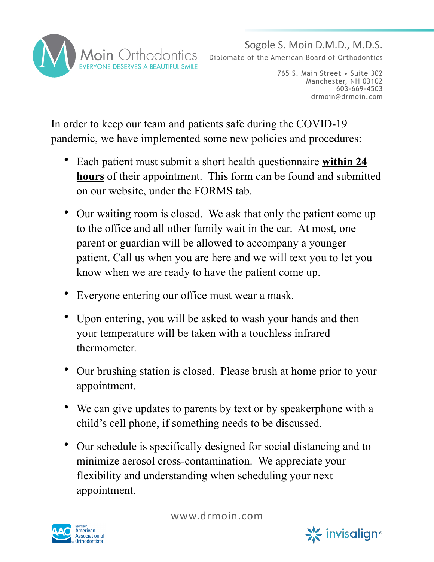

Sogole S. Moin D.M.D., M.D.S. Diplomate of the American Board of Orthodontics

> 765 S. Main Street • Suite 302 Manchester, NH 03102 603-669-4503 drmoin@drmoin.com

In order to keep our team and patients safe during the COVID-19 pandemic, we have implemented some new policies and procedures:

- Each patient must submit a short health questionnaire **within 24 hours** of their appointment. This form can be found and submitted on our website, under the FORMS tab.
- Our waiting room is closed. We ask that only the patient come up to the office and all other family wait in the car. At most, one parent or guardian will be allowed to accompany a younger patient. Call us when you are here and we will text you to let you know when we are ready to have the patient come up.
- Everyone entering our office must wear a mask.
- Upon entering, you will be asked to wash your hands and then your temperature will be taken with a touchless infrared thermometer.
- Our brushing station is closed. Please brush at home prior to your appointment.
- We can give updates to parents by text or by speakerphone with a child's cell phone, if something needs to be discussed.
- Our schedule is specifically designed for social distancing and to minimize aerosol cross-contamination. We appreciate your flexibility and understanding when scheduling your next appointment.



www.drmoin.com